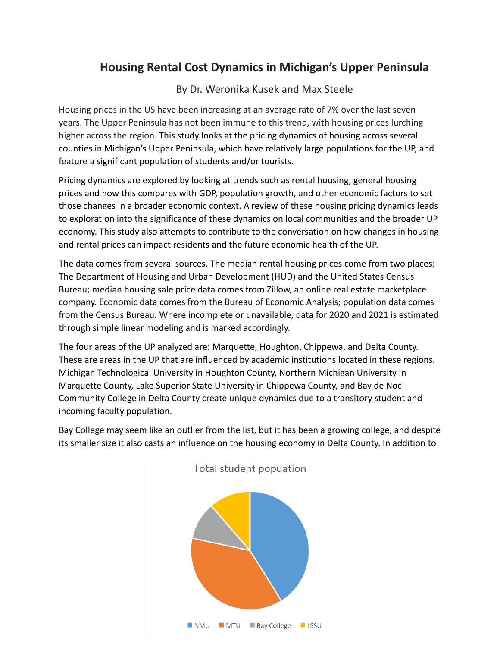## **Housing Rental Cost Dynamics in Michigan's Upper Peninsula**

## By Dr. Weronika Kusek and Max Steele

Housing prices in the US have been increasing at an average rate of 7% over the last seven years. The Upper Peninsula has not been immune to this trend, with housing prices lurching higher across the region. This study looks at the pricing dynamics of housing across several counties in Michigan's Upper Peninsula, which have relatively large populations for the UP, and feature a significant population of students and/or tourists.

Pricing dynamics are explored by looking at trends such as rental housing, general housing prices and how this compares with GDP, population growth, and other economic factors to set those changes in a broader economic context. A review of these housing pricing dynamics leads to exploration into the significance of these dynamics on local communities and the broader UP economy. This study also attempts to contribute to the conversation on how changes in housing and rental prices can impact residents and the future economic health of the UP.

The data comes from several sources. The median rental housing prices come from two places: The Department of Housing and Urban Development (HUD) and the United States Census Bureau; median housing sale price data comes from Zillow, an online real estate marketplace company. Economic data comes from the Bureau of Economic Analysis; population data comes from the Census Bureau. Where incomplete or unavailable, data for 2020 and 2021 is estimated through simple linear modeling and is marked accordingly.

The four areas of the UP analyzed are: Marquette, Houghton, Chippewa, and Delta County. These are areas in the UP that are influenced by academic institutions located in these regions. Michigan Technological University in Houghton County, Northern Michigan University in Marquette County, Lake Superior State University in Chippewa County, and Bay de Noc Community College in Delta County create unique dynamics due to a transitory student and incoming faculty population.



Bay College may seem like an outlier from the list, but it has been a growing college, and despite its smaller size it also casts an influence on the housing economy in Delta County. In addition to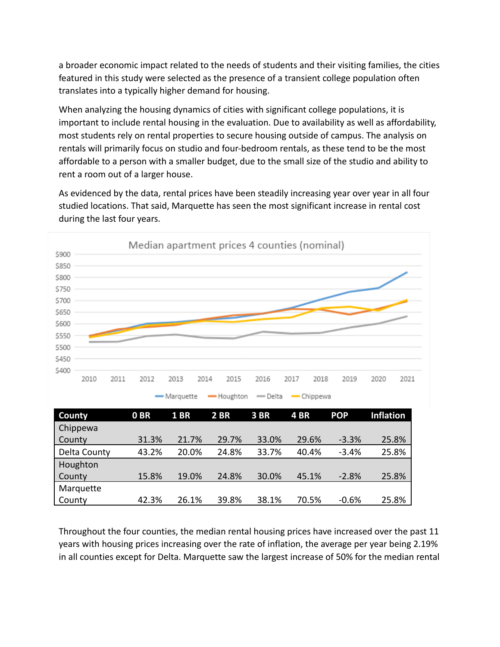a broader economic impact related to the needs of students and their visiting families, the cities featured in this study were selected as the presence of a transient college population often translates into a typically higher demand for housing.

When analyzing the housing dynamics of cities with significant college populations, it is important to include rental housing in the evaluation. Due to availability as well as affordability, most students rely on rental properties to secure housing outside of campus. The analysis on rentals will primarily focus on studio and four-bedroom rentals, as these tend to be the most affordable to a person with a smaller budget, due to the small size of the studio and ability to rent a room out of a larger house.

As evidenced by the data, rental prices have been steadily increasing year over year in all four studied locations. That said, Marquette has seen the most significant increase in rental cost during the last four years.

| \$900                 |                 |              |             |         | Median apartment prices 4 counties (nominal) |            |                  |      |
|-----------------------|-----------------|--------------|-------------|---------|----------------------------------------------|------------|------------------|------|
| \$850                 |                 |              |             |         |                                              |            |                  |      |
| \$800                 |                 |              |             |         |                                              |            |                  |      |
| \$750                 |                 |              |             |         |                                              |            |                  |      |
| \$700                 |                 |              |             |         |                                              |            |                  |      |
| \$650                 |                 |              |             |         |                                              |            |                  |      |
| \$600                 |                 |              |             |         |                                              |            |                  |      |
| \$550                 |                 |              |             |         |                                              |            |                  |      |
| \$500                 |                 |              |             |         |                                              |            |                  |      |
| \$450                 |                 |              |             |         |                                              |            |                  |      |
| \$400<br>2010<br>2011 | 2012            | 2013<br>2014 | 2015        | 2016    | 2017<br>2018                                 | 2019       | 2020             | 2021 |
|                       |                 | - Marquette  | -Houghton   | - Delta | $-$ Chippewa                                 |            |                  |      |
| <b>County</b>         | 0 <sub>BR</sub> | <b>1 BR</b>  | <b>2 BR</b> | 3BR     | 4BR                                          | <b>POP</b> | <b>Inflation</b> |      |
| Chippewa              |                 |              |             |         |                                              |            |                  |      |
| County                | 31.3%           | 21.7%        | 29.7%       | 33.0%   | 29.6%                                        | $-3.3%$    | 25.8%            |      |
| Delta County          | 43.2%           | 20.0%        | 24.8%       | 33.7%   | 40.4%                                        | $-3.4%$    | 25.8%            |      |
| Houghton              |                 |              |             |         |                                              |            |                  |      |

Throughout the four counties, the median rental housing prices have increased over the past 11 years with housing prices increasing over the rate of inflation, the average per year being 2.19% in all counties except for Delta. Marquette saw the largest increase of 50% for the median rental

[County](https://www.rentdata.org/houghton-county-mi/2010) 15.8% 19.0% 24.8% 30.0% 45.1% -2.8% 25.8%

[County](https://www.rentdata.org/marquette-county-mi/2010) 42.3% 26.1% 39.8% 38.1% 70.5% -0.6% 25.8%

[Marquette](https://www.rentdata.org/marquette-county-mi/2010)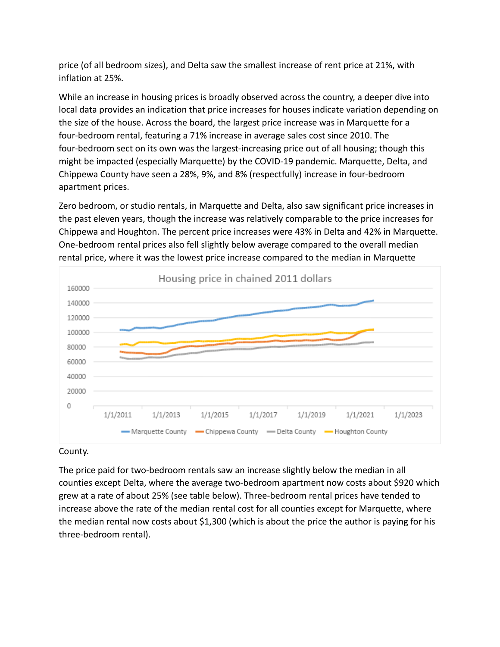price (of all bedroom sizes), and Delta saw the smallest increase of rent price at 21%, with inflation at 25%.

While an increase in housing prices is broadly observed across the country, a deeper dive into local data provides an indication that price increases for houses indicate variation depending on the size of the house. Across the board, the largest price increase was in Marquette for a four-bedroom rental, featuring a 71% increase in average sales cost since 2010. The four-bedroom sect on its own was the largest-increasing price out of all housing; though this might be impacted (especially Marquette) by the COVID-19 pandemic. Marquette, Delta, and Chippewa County have seen a 28%, 9%, and 8% (respectfully) increase in four-bedroom apartment prices.

Zero bedroom, or studio rentals, in Marquette and Delta, also saw significant price increases in the past eleven years, though the increase was relatively comparable to the price increases for Chippewa and Houghton. The percent price increases were 43% in Delta and 42% in Marquette. One-bedroom rental prices also fell slightly below average compared to the overall median rental price, where it was the lowest price increase compared to the median in Marquette



## County.

The price paid for two-bedroom rentals saw an increase slightly below the median in all counties except Delta, where the average two-bedroom apartment now costs about \$920 which grew at a rate of about 25% (see table below). Three-bedroom rental prices have tended to increase above the rate of the median rental cost for all counties except for Marquette, where the median rental now costs about \$1,300 (which is about the price the author is paying for his three-bedroom rental).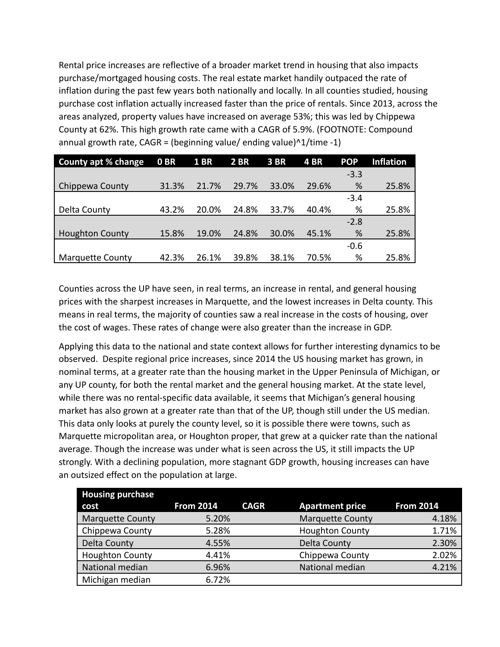Rental price increases are reflective of a broader market trend in housing that also impacts purchase/mortgaged housing costs. The real estate market handily outpaced the rate of inflation during the past few years both nationally and locally. In all counties studied, housing purchase cost inflation actually increased faster than the price of rentals. Since 2013, across the areas analyzed, property values have increased on average 53%; this was led by Chippewa County at 62%. This high growth rate came with a CAGR of 5.9%. (FOOTNOTE: Compound annual growth rate,  $CAGR = (beginning value/ending value)^1/1/time -1)$ 

| <b>County apt % change</b> | 0 <sub>BR</sub> | <b>1 BR</b> | 2 BR  | 3 BR  | <b>4 BR</b> | <b>POP</b> | <b>Inflation</b> |
|----------------------------|-----------------|-------------|-------|-------|-------------|------------|------------------|
|                            |                 |             |       |       |             | $-3.3$     |                  |
| Chippewa County            | 31.3%           | 21.7%       | 29.7% | 33.0% | 29.6%       | %          | 25.8%            |
|                            |                 |             |       |       |             | $-3.4$     |                  |
| Delta County               | 43.2%           | 20.0%       | 24.8% | 33.7% | 40.4%       | %          | 25.8%            |
|                            |                 |             |       |       |             | $-2.8$     |                  |
| <b>Houghton County</b>     | 15.8%           | 19.0%       | 24.8% | 30.0% | 45.1%       | %          | 25.8%            |
|                            |                 |             |       |       |             | $-0.6$     |                  |
| <b>Marquette County</b>    | 42.3%           | 26.1%       | 39.8% | 38.1% | 70.5%       | %          | 25.8%            |

Counties across the UP have seen, in real terms, an increase in rental, and general housing prices with the sharpest increases in Marquette, and the lowest increases in Delta county. This means in real terms, the majority of counties saw a real increase in the costs of housing, over the cost of wages. These rates of change were also greater than the increase in GDP.

Applying this data to the national and state context allows for further interesting dynamics to be observed. Despite regional price increases, since 2014 the US housing market has grown, in nominal terms, at a greater rate than the housing market in the Upper Peninsula of Michigan, or any UP county, for both the rental market and the general housing market. At the state level, while there was no rental-specific data available, it seems that Michigan's general housing market has also grown at a greater rate than that of the UP, though still under the US median. This data only looks at purely the county level, so it is possible there were towns, such as Marquette micropolitan area, or Houghton proper, that grew at a quicker rate than the national average. Though the increase was under what is seen across the US, it still impacts the UP strongly. With a declining population, more stagnant GDP growth, housing increases can have an outsized effect on the population at large.

| <b>Housing purchase</b> |                  |             |                         |                  |
|-------------------------|------------------|-------------|-------------------------|------------------|
| cost                    | <b>From 2014</b> | <b>CAGR</b> | <b>Apartment price</b>  | <b>From 2014</b> |
| <b>Marquette County</b> | 5.20%            |             | <b>Marquette County</b> | 4.18%            |
| Chippewa County         | 5.28%            |             | <b>Houghton County</b>  | 1.71%            |
| Delta County            | 4.55%            |             | Delta County            | 2.30%            |
| <b>Houghton County</b>  | 4.41%            |             | Chippewa County         | 2.02%            |
| National median         | 6.96%            |             | National median         | 4.21%            |
| Michigan median         | 6.72%            |             |                         |                  |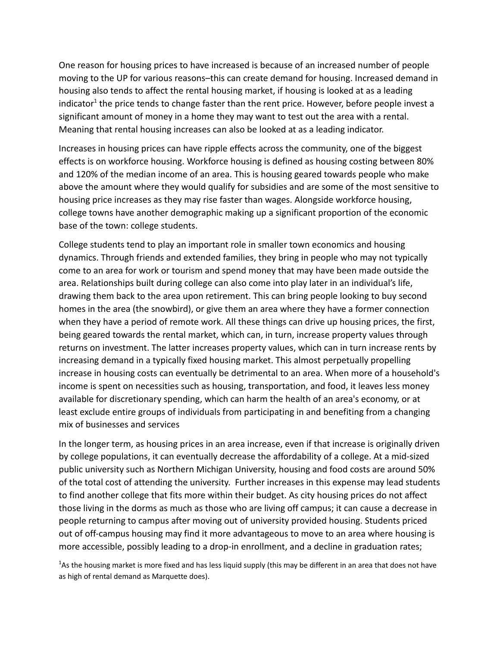One reason for housing prices to have increased is because of an increased number of people moving to the UP for various reasons–this can create demand for housing. Increased demand in housing also tends to affect the rental housing market, if housing is looked at as a leading indicator<sup>1</sup> the price tends to change faster than the rent price. However, before people invest a significant amount of money in a home they may want to test out the area with a rental. Meaning that rental housing increases can also be looked at as a leading indicator.

Increases in housing prices can have ripple effects across the community, one of the biggest effects is on workforce housing. Workforce housing is defined as housing costing between 80% and 120% of the median income of an area. This is housing geared towards people who make above the amount where they would qualify for subsidies and are some of the most sensitive to housing price increases as they may rise faster than wages. Alongside workforce housing, college towns have another demographic making up a significant proportion of the economic base of the town: college students.

College students tend to play an important role in smaller town economics and housing dynamics. Through friends and extended families, they bring in people who may not typically come to an area for work or tourism and spend money that may have been made outside the area. Relationships built during college can also come into play later in an individual's life, drawing them back to the area upon retirement. This can bring people looking to buy second homes in the area (the snowbird), or give them an area where they have a former connection when they have a period of remote work. All these things can drive up housing prices, the first, being geared towards the rental market, which can, in turn, increase property values through returns on investment. The latter increases property values, which can in turn increase rents by increasing demand in a typically fixed housing market. This almost perpetually propelling increase in housing costs can eventually be detrimental to an area. When more of a household's income is spent on necessities such as housing, transportation, and food, it leaves less money available for discretionary spending, which can harm the health of an area's economy, or at least exclude entire groups of individuals from participating in and benefiting from a changing mix of businesses and services

In the longer term, as housing prices in an area increase, even if that increase is originally driven by college populations, it can eventually decrease the affordability of a college. At a mid-sized public university such as Northern Michigan University, housing and food costs are around 50% of the total cost of attending the university. Further increases in this expense may lead students to find another college that fits more within their budget. As city housing prices do not affect those living in the dorms as much as those who are living off campus; it can cause a decrease in people returning to campus after moving out of university provided housing. Students priced out of off-campus housing may find it more advantageous to move to an area where housing is more accessible, possibly leading to a drop-in enrollment, and a decline in graduation rates;

<sup>1</sup>As the housing market is more fixed and has less liquid supply (this may be different in an area that does not have as high of rental demand as Marquette does).